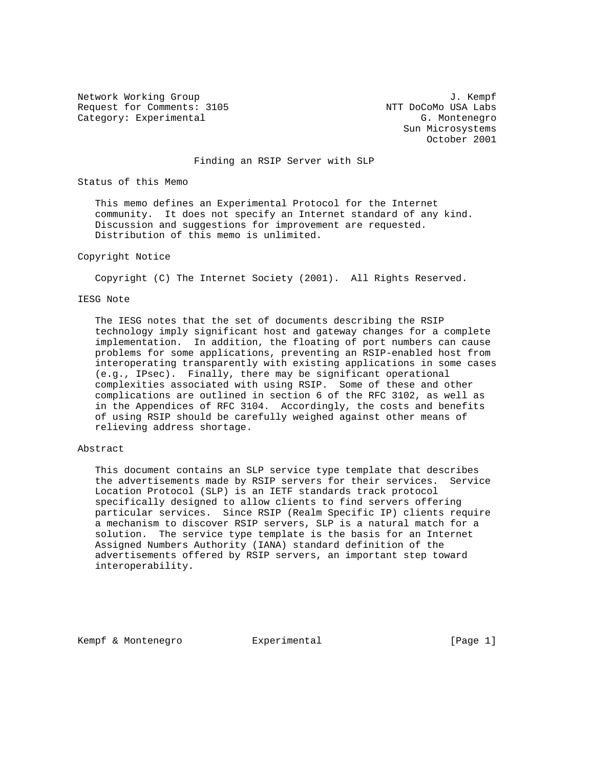Network Working Group 3. The Second Second Second Second Second Second Second Second Second Second Second Second Second Second Second Second Second Second Second Second Second Second Second Second Second Second Second Seco Request for Comments: 3105 NTT DoCoMo USA Labs Category: Experimental G. Montenegro

 Sun Microsystems October 2001

Finding an RSIP Server with SLP

Status of this Memo

 This memo defines an Experimental Protocol for the Internet community. It does not specify an Internet standard of any kind. Discussion and suggestions for improvement are requested. Distribution of this memo is unlimited.

# Copyright Notice

Copyright (C) The Internet Society (2001). All Rights Reserved.

## IESG Note

 The IESG notes that the set of documents describing the RSIP technology imply significant host and gateway changes for a complete implementation. In addition, the floating of port numbers can cause problems for some applications, preventing an RSIP-enabled host from interoperating transparently with existing applications in some cases (e.g., IPsec). Finally, there may be significant operational complexities associated with using RSIP. Some of these and other complications are outlined in section 6 of the RFC 3102, as well as in the Appendices of RFC 3104. Accordingly, the costs and benefits of using RSIP should be carefully weighed against other means of relieving address shortage.

## Abstract

 This document contains an SLP service type template that describes the advertisements made by RSIP servers for their services. Service Location Protocol (SLP) is an IETF standards track protocol specifically designed to allow clients to find servers offering particular services. Since RSIP (Realm Specific IP) clients require a mechanism to discover RSIP servers, SLP is a natural match for a solution. The service type template is the basis for an Internet Assigned Numbers Authority (IANA) standard definition of the advertisements offered by RSIP servers, an important step toward interoperability.

Kempf & Montenegro Experimental [Page 1]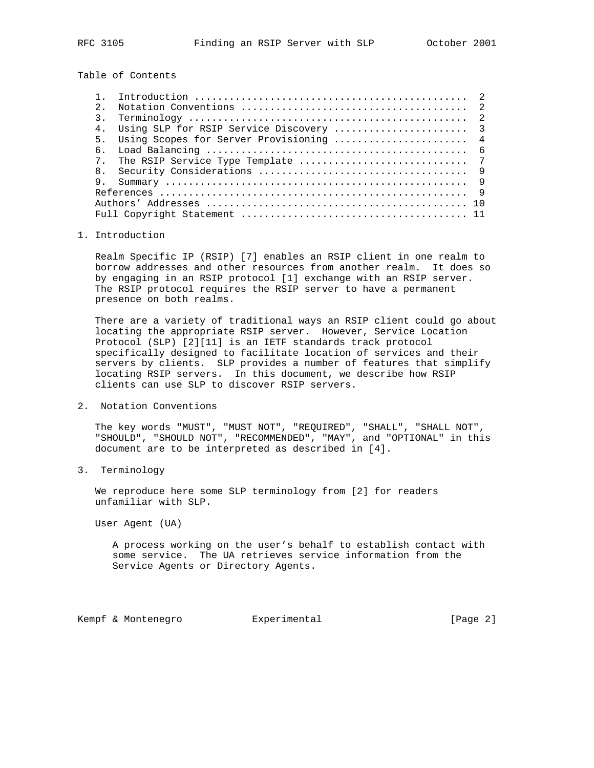Table of Contents

| $2^{\circ}$    |                                            |
|----------------|--------------------------------------------|
|                |                                            |
| 4 <sub>1</sub> |                                            |
|                | 5. Using Scopes for Server Provisioning  4 |
| რ.             |                                            |
|                |                                            |
| 8 <sub>1</sub> |                                            |
|                |                                            |
|                |                                            |
|                |                                            |
|                |                                            |

# 1. Introduction

 Realm Specific IP (RSIP) [7] enables an RSIP client in one realm to borrow addresses and other resources from another realm. It does so by engaging in an RSIP protocol [1] exchange with an RSIP server. The RSIP protocol requires the RSIP server to have a permanent presence on both realms.

 There are a variety of traditional ways an RSIP client could go about locating the appropriate RSIP server. However, Service Location Protocol (SLP) [2][11] is an IETF standards track protocol specifically designed to facilitate location of services and their servers by clients. SLP provides a number of features that simplify locating RSIP servers. In this document, we describe how RSIP clients can use SLP to discover RSIP servers.

2. Notation Conventions

 The key words "MUST", "MUST NOT", "REQUIRED", "SHALL", "SHALL NOT", "SHOULD", "SHOULD NOT", "RECOMMENDED", "MAY", and "OPTIONAL" in this document are to be interpreted as described in [4].

3. Terminology

 We reproduce here some SLP terminology from [2] for readers unfamiliar with SLP.

User Agent (UA)

 A process working on the user's behalf to establish contact with some service. The UA retrieves service information from the Service Agents or Directory Agents.

Kempf & Montenegro Experimental (Page 2)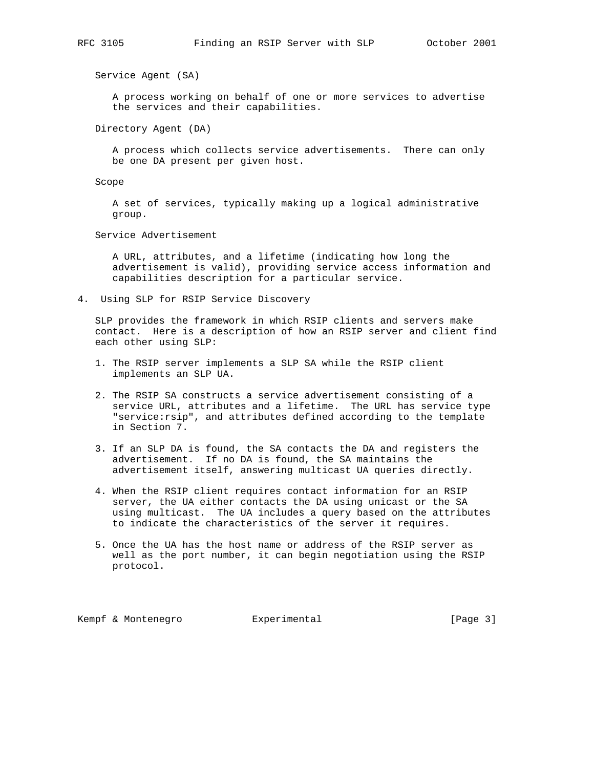Service Agent (SA)

 A process working on behalf of one or more services to advertise the services and their capabilities.

Directory Agent (DA)

 A process which collects service advertisements. There can only be one DA present per given host.

Scope

 A set of services, typically making up a logical administrative group.

Service Advertisement

 A URL, attributes, and a lifetime (indicating how long the advertisement is valid), providing service access information and capabilities description for a particular service.

4. Using SLP for RSIP Service Discovery

 SLP provides the framework in which RSIP clients and servers make contact. Here is a description of how an RSIP server and client find each other using SLP:

- 1. The RSIP server implements a SLP SA while the RSIP client implements an SLP UA.
- 2. The RSIP SA constructs a service advertisement consisting of a service URL, attributes and a lifetime. The URL has service type "service:rsip", and attributes defined according to the template in Section 7.
- 3. If an SLP DA is found, the SA contacts the DA and registers the advertisement. If no DA is found, the SA maintains the advertisement itself, answering multicast UA queries directly.
- 4. When the RSIP client requires contact information for an RSIP server, the UA either contacts the DA using unicast or the SA using multicast. The UA includes a query based on the attributes to indicate the characteristics of the server it requires.
- 5. Once the UA has the host name or address of the RSIP server as well as the port number, it can begin negotiation using the RSIP protocol.

Kempf & Montenegro Experimental [Page 3]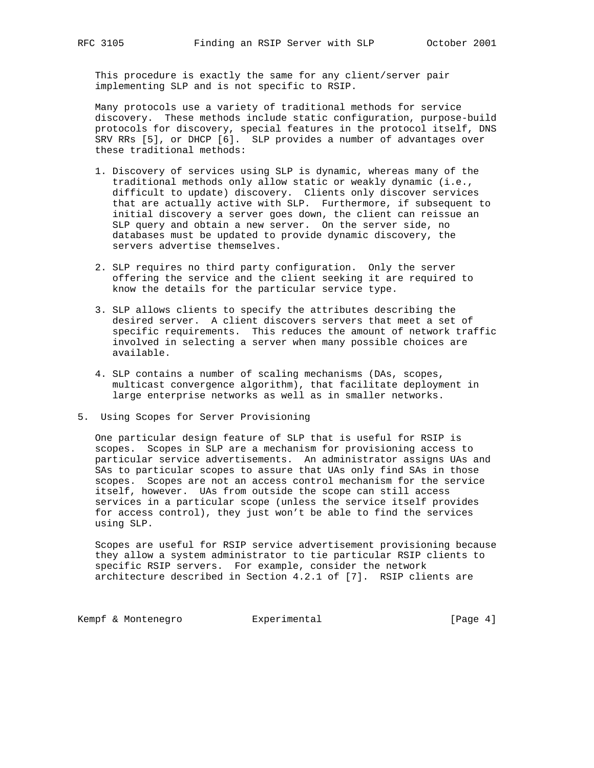This procedure is exactly the same for any client/server pair implementing SLP and is not specific to RSIP.

 Many protocols use a variety of traditional methods for service discovery. These methods include static configuration, purpose-build protocols for discovery, special features in the protocol itself, DNS SRV RRs [5], or DHCP [6]. SLP provides a number of advantages over these traditional methods:

- 1. Discovery of services using SLP is dynamic, whereas many of the traditional methods only allow static or weakly dynamic (i.e., difficult to update) discovery. Clients only discover services that are actually active with SLP. Furthermore, if subsequent to initial discovery a server goes down, the client can reissue an SLP query and obtain a new server. On the server side, no databases must be updated to provide dynamic discovery, the servers advertise themselves.
- 2. SLP requires no third party configuration. Only the server offering the service and the client seeking it are required to know the details for the particular service type.
- 3. SLP allows clients to specify the attributes describing the desired server. A client discovers servers that meet a set of specific requirements. This reduces the amount of network traffic involved in selecting a server when many possible choices are available.
- 4. SLP contains a number of scaling mechanisms (DAs, scopes, multicast convergence algorithm), that facilitate deployment in large enterprise networks as well as in smaller networks.
- 5. Using Scopes for Server Provisioning

 One particular design feature of SLP that is useful for RSIP is scopes. Scopes in SLP are a mechanism for provisioning access to particular service advertisements. An administrator assigns UAs and SAs to particular scopes to assure that UAs only find SAs in those scopes. Scopes are not an access control mechanism for the service itself, however. UAs from outside the scope can still access services in a particular scope (unless the service itself provides for access control), they just won't be able to find the services using SLP.

 Scopes are useful for RSIP service advertisement provisioning because they allow a system administrator to tie particular RSIP clients to specific RSIP servers. For example, consider the network architecture described in Section 4.2.1 of [7]. RSIP clients are

Kempf & Montenegro Experimental Computer (Page 4)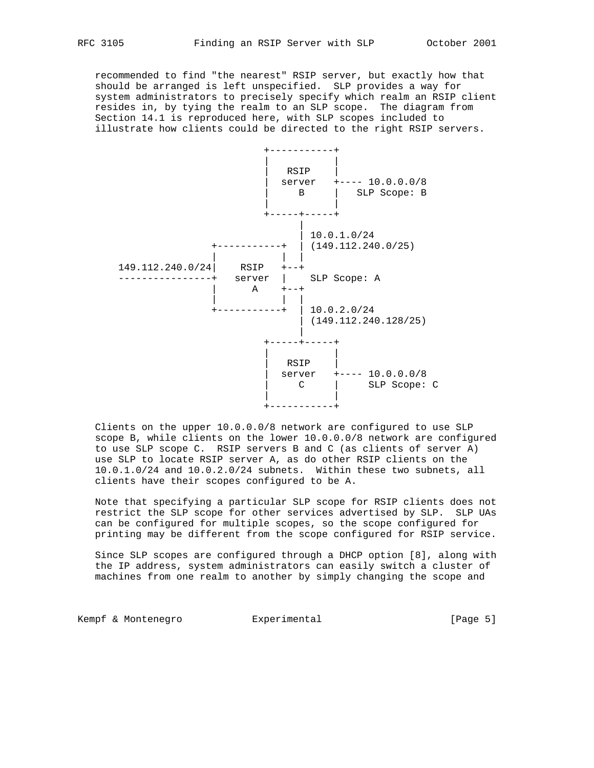recommended to find "the nearest" RSIP server, but exactly how that should be arranged is left unspecified. SLP provides a way for system administrators to precisely specify which realm an RSIP client resides in, by tying the realm to an SLP scope. The diagram from Section 14.1 is reproduced here, with SLP scopes included to illustrate how clients could be directed to the right RSIP servers.



 Clients on the upper 10.0.0.0/8 network are configured to use SLP scope B, while clients on the lower 10.0.0.0/8 network are configured to use SLP scope C. RSIP servers B and C (as clients of server A) use SLP to locate RSIP server A, as do other RSIP clients on the 10.0.1.0/24 and 10.0.2.0/24 subnets. Within these two subnets, all clients have their scopes configured to be A.

 Note that specifying a particular SLP scope for RSIP clients does not restrict the SLP scope for other services advertised by SLP. SLP UAs can be configured for multiple scopes, so the scope configured for printing may be different from the scope configured for RSIP service.

 Since SLP scopes are configured through a DHCP option [8], along with the IP address, system administrators can easily switch a cluster of machines from one realm to another by simply changing the scope and

Kempf & Montenegro Experimental Computer (Page 5)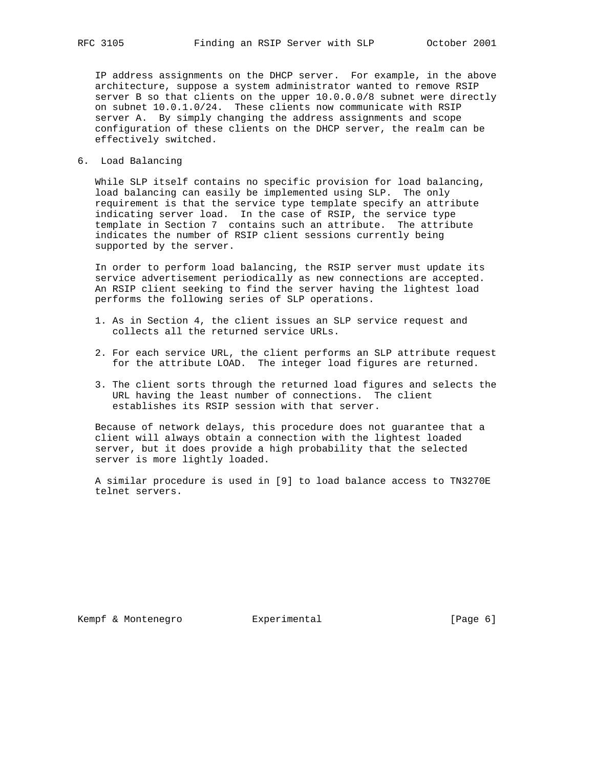IP address assignments on the DHCP server. For example, in the above architecture, suppose a system administrator wanted to remove RSIP server B so that clients on the upper 10.0.0.0/8 subnet were directly on subnet 10.0.1.0/24. These clients now communicate with RSIP server A. By simply changing the address assignments and scope configuration of these clients on the DHCP server, the realm can be effectively switched.

6. Load Balancing

 While SLP itself contains no specific provision for load balancing, load balancing can easily be implemented using SLP. The only requirement is that the service type template specify an attribute indicating server load. In the case of RSIP, the service type template in Section 7 contains such an attribute. The attribute indicates the number of RSIP client sessions currently being supported by the server.

 In order to perform load balancing, the RSIP server must update its service advertisement periodically as new connections are accepted. An RSIP client seeking to find the server having the lightest load performs the following series of SLP operations.

- 1. As in Section 4, the client issues an SLP service request and collects all the returned service URLs.
- 2. For each service URL, the client performs an SLP attribute request for the attribute LOAD. The integer load figures are returned.
- 3. The client sorts through the returned load figures and selects the URL having the least number of connections. The client establishes its RSIP session with that server.

 Because of network delays, this procedure does not guarantee that a client will always obtain a connection with the lightest loaded server, but it does provide a high probability that the selected server is more lightly loaded.

 A similar procedure is used in [9] to load balance access to TN3270E telnet servers.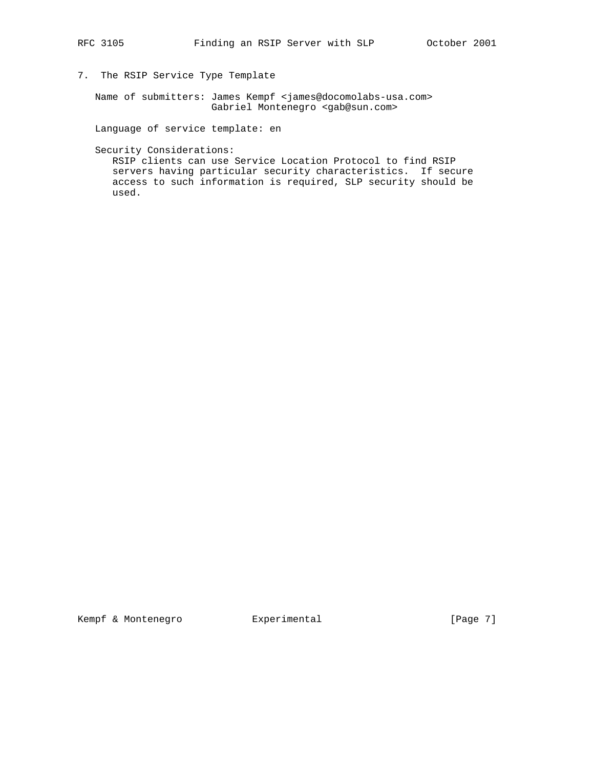- 
- 7. The RSIP Service Type Template

 Name of submitters: James Kempf <james@docomolabs-usa.com> Gabriel Montenegro <gab@sun.com>

Language of service template: en

Security Considerations:

 RSIP clients can use Service Location Protocol to find RSIP servers having particular security characteristics. If secure access to such information is required, SLP security should be used.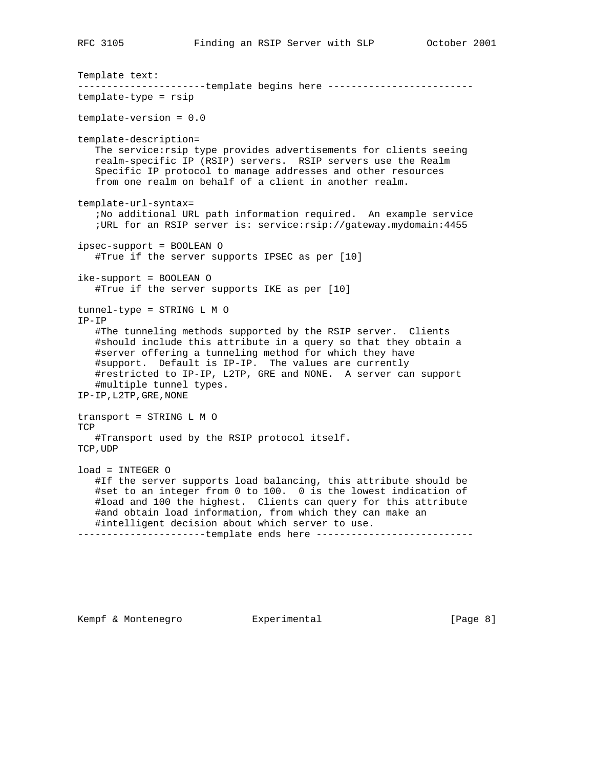Template text: ----------------------template begins here ------------------------template-type = rsip template-version = 0.0 template-description= The service: rsip type provides advertisements for clients seeing realm-specific IP (RSIP) servers. RSIP servers use the Realm Specific IP protocol to manage addresses and other resources from one realm on behalf of a client in another realm. template-url-syntax= ;No additional URL path information required. An example service ;URL for an RSIP server is: service:rsip://gateway.mydomain:4455 ipsec-support = BOOLEAN O #True if the server supports IPSEC as per [10] ike-support = BOOLEAN O #True if the server supports IKE as per [10] tunnel-type = STRING L M O IP-IP #The tunneling methods supported by the RSIP server. Clients #should include this attribute in a query so that they obtain a #server offering a tunneling method for which they have #support. Default is IP-IP. The values are currently #restricted to IP-IP, L2TP, GRE and NONE. A server can support #multiple tunnel types. IP-IP,L2TP,GRE,NONE transport = STRING L M O **TCP**  #Transport used by the RSIP protocol itself. TCP,UDP load = INTEGER O #If the server supports load balancing, this attribute should be #set to an integer from 0 to 100. 0 is the lowest indication of #load and 100 the highest. Clients can query for this attribute #and obtain load information, from which they can make an #intelligent decision about which server to use. -----------------------template ends here ----------------------------

Kempf & Montenegro Experimental [Page 8]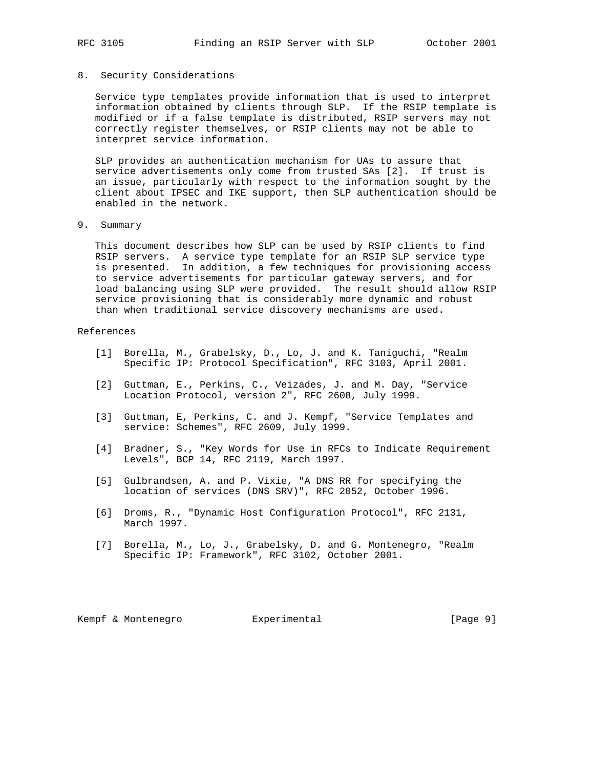#### 8. Security Considerations

 Service type templates provide information that is used to interpret information obtained by clients through SLP. If the RSIP template is modified or if a false template is distributed, RSIP servers may not correctly register themselves, or RSIP clients may not be able to interpret service information.

 SLP provides an authentication mechanism for UAs to assure that service advertisements only come from trusted SAs [2]. If trust is an issue, particularly with respect to the information sought by the client about IPSEC and IKE support, then SLP authentication should be enabled in the network.

9. Summary

 This document describes how SLP can be used by RSIP clients to find RSIP servers. A service type template for an RSIP SLP service type is presented. In addition, a few techniques for provisioning access to service advertisements for particular gateway servers, and for load balancing using SLP were provided. The result should allow RSIP service provisioning that is considerably more dynamic and robust than when traditional service discovery mechanisms are used.

## References

- [1] Borella, M., Grabelsky, D., Lo, J. and K. Taniguchi, "Realm Specific IP: Protocol Specification", RFC 3103, April 2001.
- [2] Guttman, E., Perkins, C., Veizades, J. and M. Day, "Service Location Protocol, version 2", RFC 2608, July 1999.
- [3] Guttman, E, Perkins, C. and J. Kempf, "Service Templates and service: Schemes", RFC 2609, July 1999.
- [4] Bradner, S., "Key Words for Use in RFCs to Indicate Requirement Levels", BCP 14, RFC 2119, March 1997.
- [5] Gulbrandsen, A. and P. Vixie, "A DNS RR for specifying the location of services (DNS SRV)", RFC 2052, October 1996.
- [6] Droms, R., "Dynamic Host Configuration Protocol", RFC 2131, March 1997.
- [7] Borella, M., Lo, J., Grabelsky, D. and G. Montenegro, "Realm Specific IP: Framework", RFC 3102, October 2001.

Kempf & Montenegro Experimental [Page 9]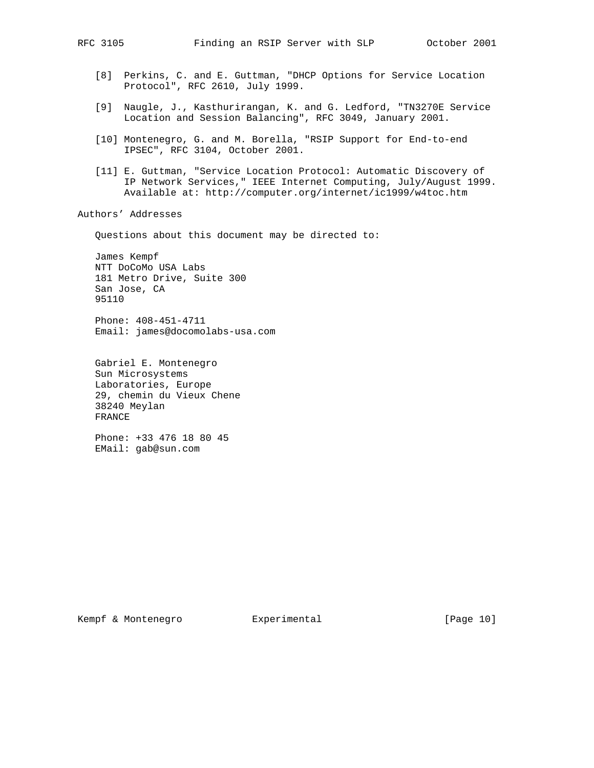- [8] Perkins, C. and E. Guttman, "DHCP Options for Service Location Protocol", RFC 2610, July 1999.
- [9] Naugle, J., Kasthurirangan, K. and G. Ledford, "TN3270E Service Location and Session Balancing", RFC 3049, January 2001.
- [10] Montenegro, G. and M. Borella, "RSIP Support for End-to-end IPSEC", RFC 3104, October 2001.
- [11] E. Guttman, "Service Location Protocol: Automatic Discovery of IP Network Services," IEEE Internet Computing, July/August 1999. Available at: http://computer.org/internet/ic1999/w4toc.htm

Authors' Addresses

Questions about this document may be directed to:

 James Kempf NTT DoCoMo USA Labs 181 Metro Drive, Suite 300 San Jose, CA 95110

 Phone: 408-451-4711 Email: james@docomolabs-usa.com

 Gabriel E. Montenegro Sun Microsystems Laboratories, Europe 29, chemin du Vieux Chene 38240 Meylan FRANCE

 Phone: +33 476 18 80 45 EMail: gab@sun.com